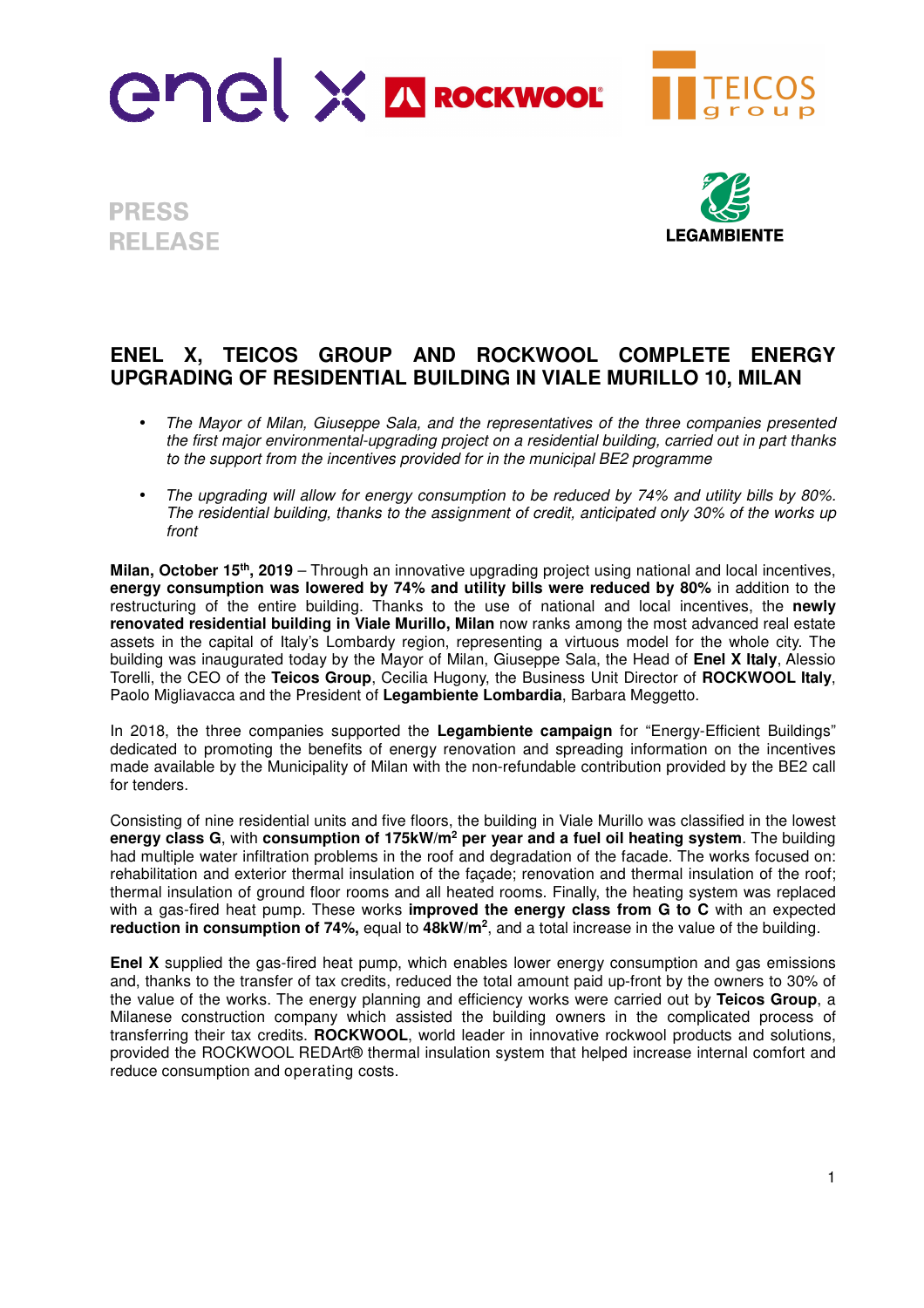

**PRESS RELEASE** 



## **ENEL X, TEICOS GROUP AND ROCKWOOL COMPLETE ENERGY UPGRADING OF RESIDENTIAL BUILDING IN VIALE MURILLO 10, MILAN**

- *The Mayor of Milan, Giuseppe Sala, and the representatives of the three companies presented the first major environmental-upgrading project on a residential building, carried out in part thanks to the support from the incentives provided for in the municipal BE2 programme*
- *The upgrading will allow for energy consumption to be reduced by 74% and utility bills by 80%. The residential building, thanks to the assignment of credit, anticipated only 30% of the works up front*

**Milan, October 15th, 2019** – Through an innovative upgrading project using national and local incentives, **energy consumption was lowered by 74% and utility bills were reduced by 80%** in addition to the restructuring of the entire building. Thanks to the use of national and local incentives, the **newly renovated residential building in Viale Murillo, Milan** now ranks among the most advanced real estate assets in the capital of Italy's Lombardy region, representing a virtuous model for the whole city. The building was inaugurated today by the Mayor of Milan, Giuseppe Sala, the Head of **Enel X Italy**, Alessio Torelli, the CEO of the **Teicos Group**, Cecilia Hugony, the Business Unit Director of **ROCKWOOL Italy**, Paolo Migliavacca and the President of **Legambiente Lombardia**, Barbara Meggetto.

In 2018, the three companies supported the **Legambiente campaign** for "Energy-Efficient Buildings" dedicated to promoting the benefits of energy renovation and spreading information on the incentives made available by the Municipality of Milan with the non-refundable contribution provided by the BE2 call for tenders.

Consisting of nine residential units and five floors, the building in Viale Murillo was classified in the lowest **energy class G**, with **consumption of 175kW/m<sup>2</sup> per year and a fuel oil heating system**. The building had multiple water infiltration problems in the roof and degradation of the facade. The works focused on: rehabilitation and exterior thermal insulation of the façade; renovation and thermal insulation of the roof; thermal insulation of ground floor rooms and all heated rooms. Finally, the heating system was replaced with a gas-fired heat pump. These works **improved the energy class from G to C** with an expected **reduction in consumption of 74%,** equal to **48kW/m<sup>2</sup>** , and a total increase in the value of the building.

**Enel X** supplied the gas-fired heat pump, which enables lower energy consumption and gas emissions and, thanks to the transfer of tax credits, reduced the total amount paid up-front by the owners to 30% of the value of the works. The energy planning and efficiency works were carried out by **Teicos Group**, a Milanese construction company which assisted the building owners in the complicated process of transferring their tax credits. **ROCKWOOL**, world leader in innovative rockwool products and solutions, provided the ROCKWOOL REDArt® thermal insulation system that helped increase internal comfort and reduce consumption and operating costs.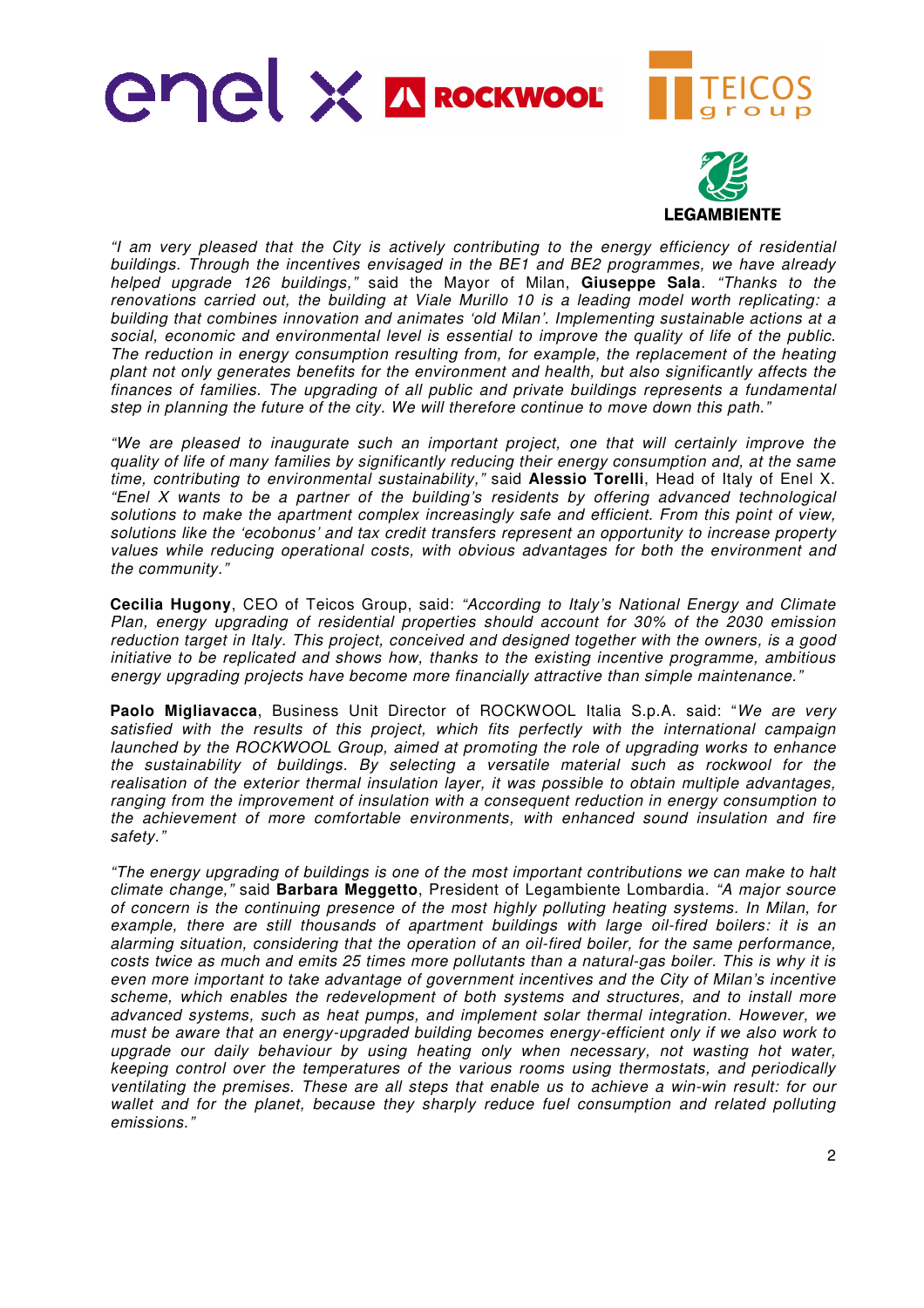



*"I am very pleased that the City is actively contributing to the energy efficiency of residential buildings. Through the incentives envisaged in the BE1 and BE2 programmes, we have already helped upgrade 126 buildings,"* said the Mayor of Milan, **Giuseppe Sala**. *"Thanks to the renovations carried out, the building at Viale Murillo 10 is a leading model worth replicating: a building that combines innovation and animates 'old Milan'. Implementing sustainable actions at a social, economic and environmental level is essential to improve the quality of life of the public. The reduction in energy consumption resulting from, for example, the replacement of the heating plant not only generates benefits for the environment and health, but also significantly affects the finances of families. The upgrading of all public and private buildings represents a fundamental step in planning the future of the city. We will therefore continue to move down this path."* 

*"We are pleased to inaugurate such an important project, one that will certainly improve the quality of life of many families by significantly reducing their energy consumption and, at the same time, contributing to environmental sustainability,"* said **Alessio Torelli**, Head of Italy of Enel X. *"Enel X wants to be a partner of the building's residents by offering advanced technological solutions to make the apartment complex increasingly safe and efficient. From this point of view, solutions like the 'ecobonus' and tax credit transfers represent an opportunity to increase property values while reducing operational costs, with obvious advantages for both the environment and the community."* 

**Cecilia Hugony**, CEO of Teicos Group, said: *"According to Italy's National Energy and Climate Plan, energy upgrading of residential properties should account for 30% of the 2030 emission reduction target in Italy. This project, conceived and designed together with the owners, is a good initiative to be replicated and shows how, thanks to the existing incentive programme, ambitious energy upgrading projects have become more financially attractive than simple maintenance."* 

**Paolo Migliavacca**, Business Unit Director of ROCKWOOL Italia S.p.A. said: "*We are very satisfied with the results of this project, which fits perfectly with the international campaign launched by the ROCKWOOL Group, aimed at promoting the role of upgrading works to enhance the sustainability of buildings. By selecting a versatile material such as rockwool for the realisation of the exterior thermal insulation layer, it was possible to obtain multiple advantages, ranging from the improvement of insulation with a consequent reduction in energy consumption to the achievement of more comfortable environments, with enhanced sound insulation and fire safety."* 

*"The energy upgrading of buildings is one of the most important contributions we can make to halt climate change,"* said **Barbara Meggetto**, President of Legambiente Lombardia*. "A major source of concern is the continuing presence of the most highly polluting heating systems. In Milan, for*  example, there are still thousands of apartment buildings with large oil-fired boilers: it is an *alarming situation, considering that the operation of an oil-fired boiler, for the same performance, costs twice as much and emits 25 times more pollutants than a natural-gas boiler. This is why it is even more important to take advantage of government incentives and the City of Milan's incentive scheme, which enables the redevelopment of both systems and structures, and to install more advanced systems, such as heat pumps, and implement solar thermal integration. However, we must be aware that an energy-upgraded building becomes energy-efficient only if we also work to upgrade our daily behaviour by using heating only when necessary, not wasting hot water, keeping control over the temperatures of the various rooms using thermostats, and periodically ventilating the premises. These are all steps that enable us to achieve a win-win result: for our wallet and for the planet, because they sharply reduce fuel consumption and related polluting emissions."*